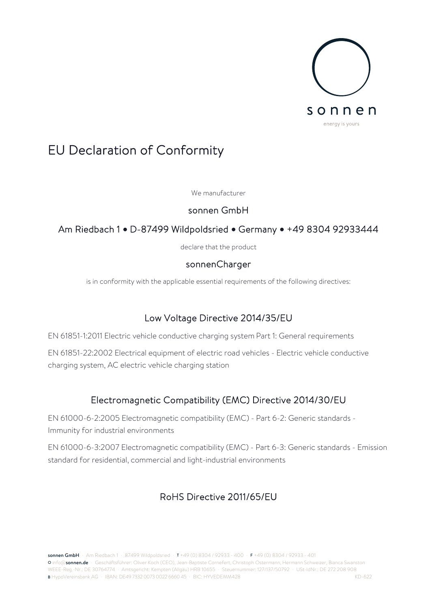

# EU Declaration of Conformity

We manufacturer

#### sonnen GmbH

### Am Riedbach 1 **•** D-87499 Wildpoldsried **•** Germany **•** +49 8304 92933444

declare that the product

#### sonnenCharger

is in conformity with the applicable essential requirements of the following directives:

## Low Voltage Directive 2014/35/EU

EN 61851-1:2011 Electric vehicle conductive charging system Part 1: General requirements

EN 61851-22:2002 Electrical equipment of electric road vehicles - Electric vehicle conductive charging system, AC electric vehicle charging station

## Electromagnetic Compatibility (EMC) Directive 2014/30/EU

EN 61000-6-2:2005 Electromagnetic compatibility (EMC) - Part 6-2: Generic standards - Immunity for industrial environments

EN 61000-6-3:2007 Electromagnetic compatibility (EMC) - Part 6-3: Generic standards - Emission standard for residential, commercial and light-industrial environments

## RoHS Directive 2011/65/EU